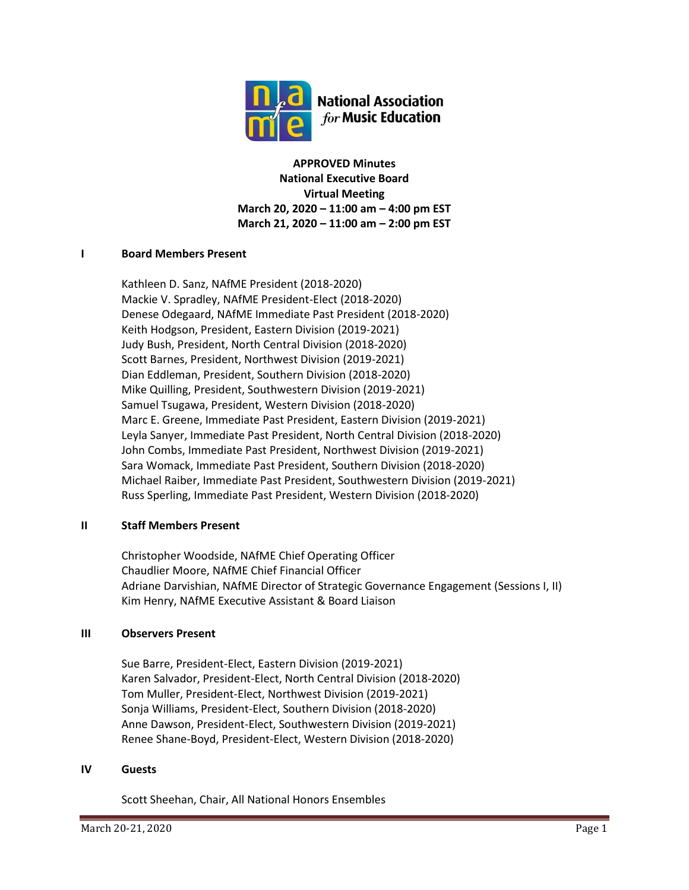

**APPROVED Minutes National Executive Board Virtual Meeting March 20, 2020 – 11:00 am – 4:00 pm EST March 21, 2020 – 11:00 am – 2:00 pm EST**

# **I Board Members Present**

Kathleen D. Sanz, NAfME President (2018-2020) Mackie V. Spradley, NAfME President-Elect (2018-2020) Denese Odegaard, NAfME Immediate Past President (2018-2020) Keith Hodgson, President, Eastern Division (2019-2021) Judy Bush, President, North Central Division (2018-2020) Scott Barnes, President, Northwest Division (2019-2021) Dian Eddleman, President, Southern Division (2018-2020) Mike Quilling, President, Southwestern Division (2019-2021) Samuel Tsugawa, President, Western Division (2018-2020) Marc E. Greene, Immediate Past President, Eastern Division (2019-2021) Leyla Sanyer, Immediate Past President, North Central Division (2018-2020) John Combs, Immediate Past President, Northwest Division (2019-2021) Sara Womack, Immediate Past President, Southern Division (2018-2020) Michael Raiber, Immediate Past President, Southwestern Division (2019-2021) Russ Sperling, Immediate Past President, Western Division (2018-2020)

## **II Staff Members Present**

Christopher Woodside, NAfME Chief Operating Officer Chaudlier Moore, NAfME Chief Financial Officer Adriane Darvishian, NAfME Director of Strategic Governance Engagement (Sessions I, II) Kim Henry, NAfME Executive Assistant & Board Liaison

## **III Observers Present**

Sue Barre, President-Elect, Eastern Division (2019-2021) Karen Salvador, President-Elect, North Central Division (2018-2020) Tom Muller, President-Elect, Northwest Division (2019-2021) Sonja Williams, President-Elect, Southern Division (2018-2020) Anne Dawson, President-Elect, Southwestern Division (2019-2021) Renee Shane-Boyd, President-Elect, Western Division (2018-2020)

## **IV Guests**

Scott Sheehan, Chair, All National Honors Ensembles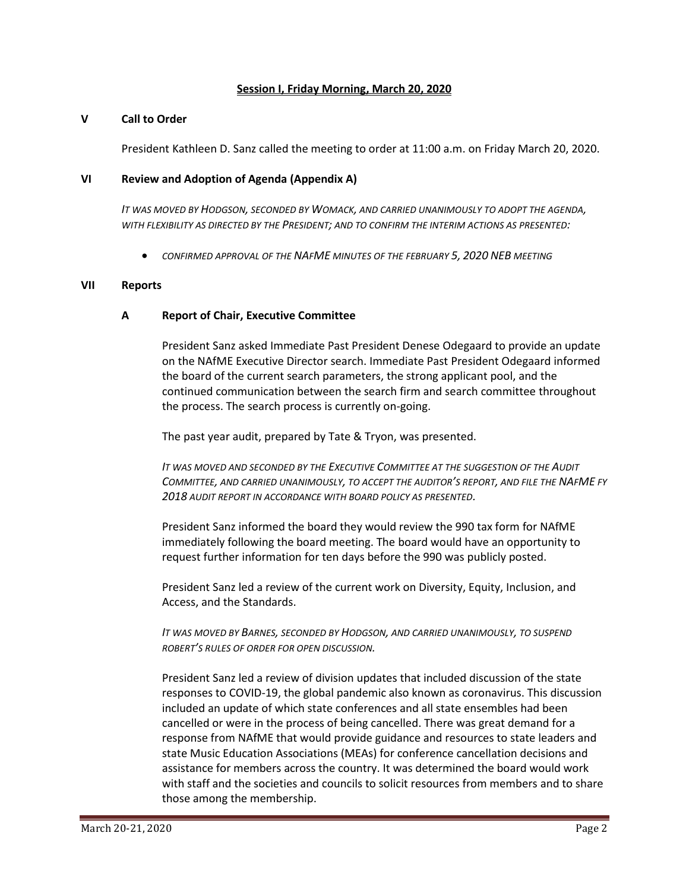### **Session I, Friday Morning, March 20, 2020**

#### **V Call to Order**

President Kathleen D. Sanz called the meeting to order at 11:00 a.m. on Friday March 20, 2020.

### **VI Review and Adoption of Agenda (Appendix A)**

*IT WAS MOVED BY HODGSON, SECONDED BY WOMACK, AND CARRIED UNANIMOUSLY TO ADOPT THE AGENDA, WITH FLEXIBILITY AS DIRECTED BY THE PRESIDENT; AND TO CONFIRM THE INTERIM ACTIONS AS PRESENTED:*

• *CONFIRMED APPROVAL OF THE NAFME MINUTES OF THE FEBRUARY 5, 2020 NEB MEETING*

#### **VII Reports**

### **A Report of Chair, Executive Committee**

President Sanz asked Immediate Past President Denese Odegaard to provide an update on the NAfME Executive Director search. Immediate Past President Odegaard informed the board of the current search parameters, the strong applicant pool, and the continued communication between the search firm and search committee throughout the process. The search process is currently on-going.

The past year audit, prepared by Tate & Tryon, was presented.

*IT WAS MOVED AND SECONDED BY THE EXECUTIVE COMMITTEE AT THE SUGGESTION OF THE AUDIT COMMITTEE, AND CARRIED UNANIMOUSLY, TO ACCEPT THE AUDITOR'S REPORT, AND FILE THE NAFME FY 2018 AUDIT REPORT IN ACCORDANCE WITH BOARD POLICY AS PRESENTED.*

President Sanz informed the board they would review the 990 tax form for NAfME immediately following the board meeting. The board would have an opportunity to request further information for ten days before the 990 was publicly posted.

President Sanz led a review of the current work on Diversity, Equity, Inclusion, and Access, and the Standards.

*IT WAS MOVED BY BARNES, SECONDED BY HODGSON, AND CARRIED UNANIMOUSLY, TO SUSPEND ROBERT'S RULES OF ORDER FOR OPEN DISCUSSION.*

President Sanz led a review of division updates that included discussion of the state responses to COVID-19, the global pandemic also known as coronavirus. This discussion included an update of which state conferences and all state ensembles had been cancelled or were in the process of being cancelled. There was great demand for a response from NAfME that would provide guidance and resources to state leaders and state Music Education Associations (MEAs) for conference cancellation decisions and assistance for members across the country. It was determined the board would work with staff and the societies and councils to solicit resources from members and to share those among the membership.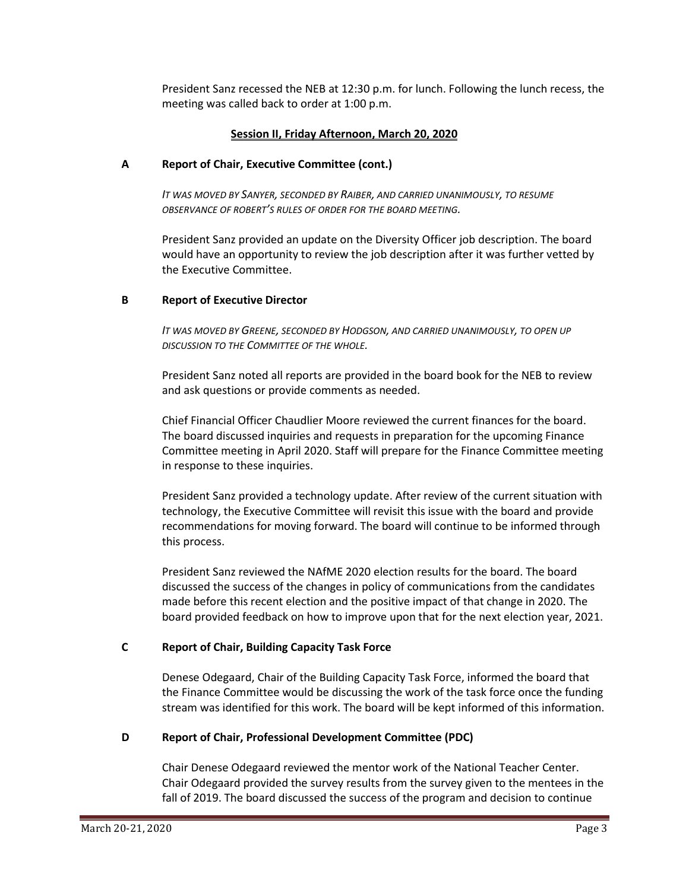President Sanz recessed the NEB at 12:30 p.m. for lunch. Following the lunch recess, the meeting was called back to order at 1:00 p.m.

# **Session II, Friday Afternoon, March 20, 2020**

# **A Report of Chair, Executive Committee (cont.)**

*IT WAS MOVED BY SANYER, SECONDED BY RAIBER, AND CARRIED UNANIMOUSLY, TO RESUME OBSERVANCE OF ROBERT'S RULES OF ORDER FOR THE BOARD MEETING.*

President Sanz provided an update on the Diversity Officer job description. The board would have an opportunity to review the job description after it was further vetted by the Executive Committee.

# **B Report of Executive Director**

*IT WAS MOVED BY GREENE, SECONDED BY HODGSON, AND CARRIED UNANIMOUSLY, TO OPEN UP DISCUSSION TO THE COMMITTEE OF THE WHOLE.*

President Sanz noted all reports are provided in the board book for the NEB to review and ask questions or provide comments as needed.

Chief Financial Officer Chaudlier Moore reviewed the current finances for the board. The board discussed inquiries and requests in preparation for the upcoming Finance Committee meeting in April 2020. Staff will prepare for the Finance Committee meeting in response to these inquiries.

President Sanz provided a technology update. After review of the current situation with technology, the Executive Committee will revisit this issue with the board and provide recommendations for moving forward. The board will continue to be informed through this process.

President Sanz reviewed the NAfME 2020 election results for the board. The board discussed the success of the changes in policy of communications from the candidates made before this recent election and the positive impact of that change in 2020. The board provided feedback on how to improve upon that for the next election year, 2021.

# **C Report of Chair, Building Capacity Task Force**

Denese Odegaard, Chair of the Building Capacity Task Force, informed the board that the Finance Committee would be discussing the work of the task force once the funding stream was identified for this work. The board will be kept informed of this information.

# **D Report of Chair, Professional Development Committee (PDC)**

Chair Denese Odegaard reviewed the mentor work of the National Teacher Center. Chair Odegaard provided the survey results from the survey given to the mentees in the fall of 2019. The board discussed the success of the program and decision to continue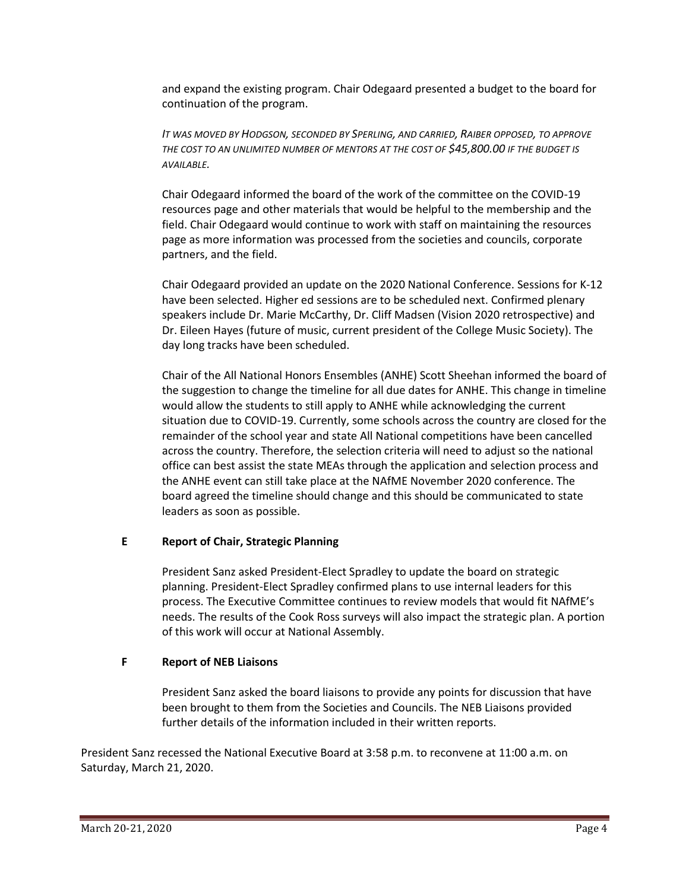and expand the existing program. Chair Odegaard presented a budget to the board for continuation of the program.

*IT WAS MOVED BY HODGSON, SECONDED BY SPERLING, AND CARRIED, RAIBER OPPOSED, TO APPROVE THE COST TO AN UNLIMITED NUMBER OF MENTORS AT THE COST OF \$45,800.00 IF THE BUDGET IS AVAILABLE.*

Chair Odegaard informed the board of the work of the committee on the COVID-19 resources page and other materials that would be helpful to the membership and the field. Chair Odegaard would continue to work with staff on maintaining the resources page as more information was processed from the societies and councils, corporate partners, and the field.

Chair Odegaard provided an update on the 2020 National Conference. Sessions for K-12 have been selected. Higher ed sessions are to be scheduled next. Confirmed plenary speakers include Dr. Marie McCarthy, Dr. Cliff Madsen (Vision 2020 retrospective) and Dr. Eileen Hayes (future of music, current president of the College Music Society). The day long tracks have been scheduled.

Chair of the All National Honors Ensembles (ANHE) Scott Sheehan informed the board of the suggestion to change the timeline for all due dates for ANHE. This change in timeline would allow the students to still apply to ANHE while acknowledging the current situation due to COVID-19. Currently, some schools across the country are closed for the remainder of the school year and state All National competitions have been cancelled across the country. Therefore, the selection criteria will need to adjust so the national office can best assist the state MEAs through the application and selection process and the ANHE event can still take place at the NAfME November 2020 conference. The board agreed the timeline should change and this should be communicated to state leaders as soon as possible.

## **E Report of Chair, Strategic Planning**

President Sanz asked President-Elect Spradley to update the board on strategic planning. President-Elect Spradley confirmed plans to use internal leaders for this process. The Executive Committee continues to review models that would fit NAfME's needs. The results of the Cook Ross surveys will also impact the strategic plan. A portion of this work will occur at National Assembly.

# **F Report of NEB Liaisons**

President Sanz asked the board liaisons to provide any points for discussion that have been brought to them from the Societies and Councils. The NEB Liaisons provided further details of the information included in their written reports.

President Sanz recessed the National Executive Board at 3:58 p.m. to reconvene at 11:00 a.m. on Saturday, March 21, 2020.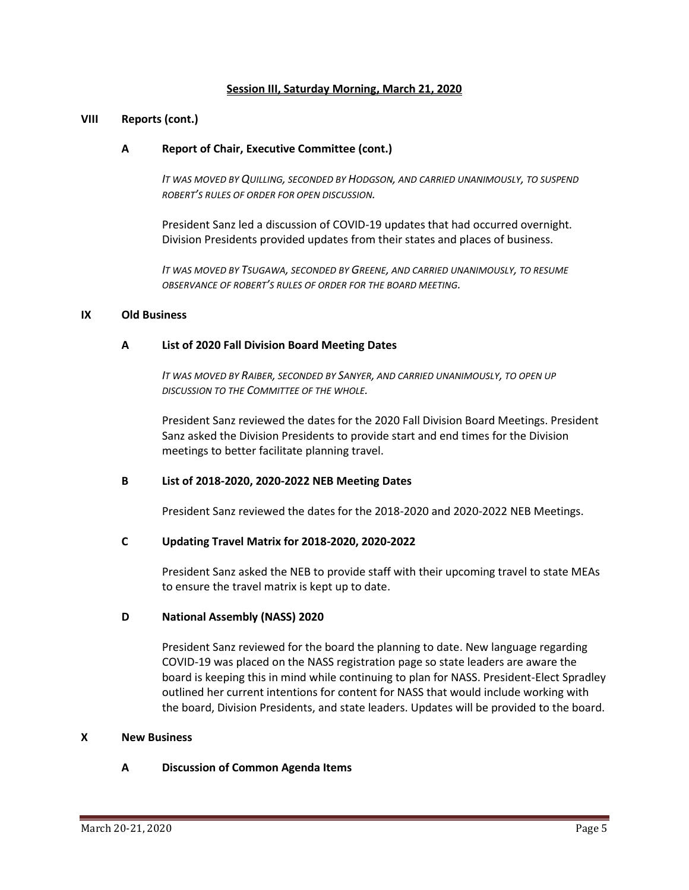### **Session III, Saturday Morning, March 21, 2020**

#### **VIII Reports (cont.)**

### **A Report of Chair, Executive Committee (cont.)**

*IT WAS MOVED BY QUILLING, SECONDED BY HODGSON, AND CARRIED UNANIMOUSLY, TO SUSPEND ROBERT'S RULES OF ORDER FOR OPEN DISCUSSION.*

President Sanz led a discussion of COVID-19 updates that had occurred overnight. Division Presidents provided updates from their states and places of business.

*IT WAS MOVED BY TSUGAWA, SECONDED BY GREENE, AND CARRIED UNANIMOUSLY, TO RESUME OBSERVANCE OF ROBERT'S RULES OF ORDER FOR THE BOARD MEETING.*

### **IX Old Business**

#### **A List of 2020 Fall Division Board Meeting Dates**

*IT WAS MOVED BY RAIBER, SECONDED BY SANYER, AND CARRIED UNANIMOUSLY, TO OPEN UP DISCUSSION TO THE COMMITTEE OF THE WHOLE.*

President Sanz reviewed the dates for the 2020 Fall Division Board Meetings. President Sanz asked the Division Presidents to provide start and end times for the Division meetings to better facilitate planning travel.

#### **B List of 2018-2020, 2020-2022 NEB Meeting Dates**

President Sanz reviewed the dates for the 2018-2020 and 2020-2022 NEB Meetings.

#### **C Updating Travel Matrix for 2018-2020, 2020-2022**

President Sanz asked the NEB to provide staff with their upcoming travel to state MEAs to ensure the travel matrix is kept up to date.

#### **D National Assembly (NASS) 2020**

President Sanz reviewed for the board the planning to date. New language regarding COVID-19 was placed on the NASS registration page so state leaders are aware the board is keeping this in mind while continuing to plan for NASS. President-Elect Spradley outlined her current intentions for content for NASS that would include working with the board, Division Presidents, and state leaders. Updates will be provided to the board.

#### **X New Business**

## **A Discussion of Common Agenda Items**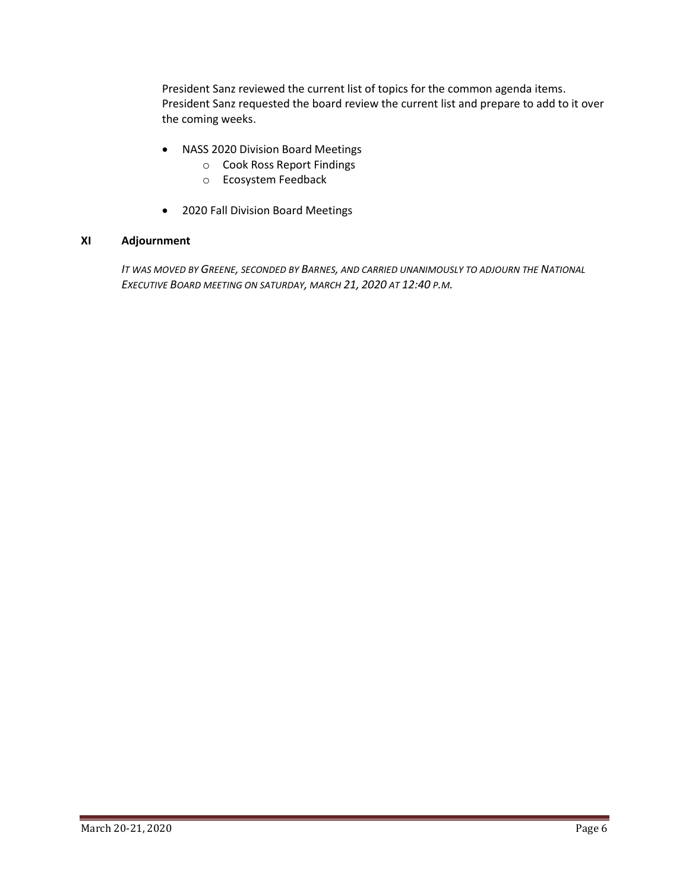President Sanz reviewed the current list of topics for the common agenda items. President Sanz requested the board review the current list and prepare to add to it over the coming weeks.

- NASS 2020 Division Board Meetings
	- o Cook Ross Report Findings
	- o Ecosystem Feedback
- 2020 Fall Division Board Meetings

## **XI Adjournment**

*IT WAS MOVED BY GREENE, SECONDED BY BARNES, AND CARRIED UNANIMOUSLY TO ADJOURN THE NATIONAL EXECUTIVE BOARD MEETING ON SATURDAY, MARCH 21, 2020 AT 12:40 P.M.*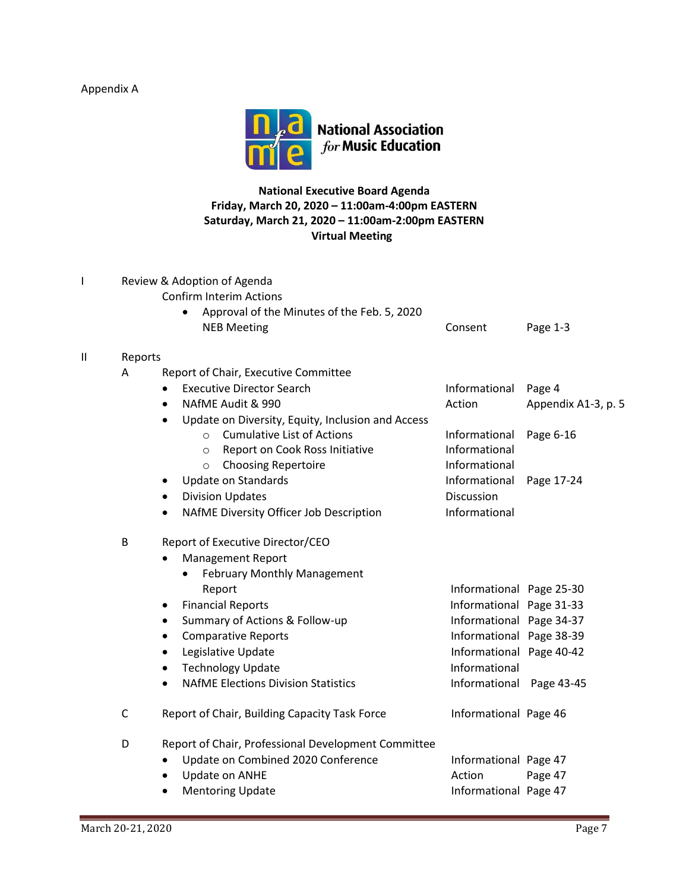# Appendix A



**National Executive Board Agenda Friday, March 20, 2020 – 11:00am-4:00pm EASTERN Saturday, March 21, 2020 – 11:00am-2:00pm EASTERN Virtual Meeting**

|   | Review & Adoption of Agenda |                                                                |                          |                     |  |  |
|---|-----------------------------|----------------------------------------------------------------|--------------------------|---------------------|--|--|
|   |                             | <b>Confirm Interim Actions</b>                                 |                          |                     |  |  |
|   |                             | Approval of the Minutes of the Feb. 5, 2020                    |                          |                     |  |  |
|   |                             | <b>NEB Meeting</b>                                             | Consent                  | Page 1-3            |  |  |
| Ш | Reports                     |                                                                |                          |                     |  |  |
|   | A                           | Report of Chair, Executive Committee                           |                          |                     |  |  |
|   |                             | <b>Executive Director Search</b><br>$\bullet$                  | Informational            | Page 4              |  |  |
|   |                             | NAfME Audit & 990<br>$\bullet$                                 | Action                   | Appendix A1-3, p. 5 |  |  |
|   |                             | Update on Diversity, Equity, Inclusion and Access<br>$\bullet$ |                          |                     |  |  |
|   |                             | <b>Cumulative List of Actions</b><br>$\circ$                   | Informational            | Page 6-16           |  |  |
|   |                             | Report on Cook Ross Initiative<br>$\circ$                      | Informational            |                     |  |  |
|   |                             | <b>Choosing Repertoire</b><br>$\circ$                          | Informational            |                     |  |  |
|   |                             | <b>Update on Standards</b><br>٠                                | Informational            | Page 17-24          |  |  |
|   |                             | <b>Division Updates</b><br>$\bullet$                           | Discussion               |                     |  |  |
|   |                             | NAfME Diversity Officer Job Description<br>$\bullet$           | Informational            |                     |  |  |
|   | B                           | Report of Executive Director/CEO                               |                          |                     |  |  |
|   |                             | <b>Management Report</b>                                       |                          |                     |  |  |
|   |                             | February Monthly Management                                    |                          |                     |  |  |
|   |                             | Report                                                         | Informational Page 25-30 |                     |  |  |
|   |                             | <b>Financial Reports</b><br>٠                                  | Informational Page 31-33 |                     |  |  |
|   |                             | Summary of Actions & Follow-up<br>$\bullet$                    | Informational Page 34-37 |                     |  |  |
|   |                             | <b>Comparative Reports</b><br>$\bullet$                        | Informational Page 38-39 |                     |  |  |
|   |                             | Legislative Update<br>$\bullet$                                | Informational Page 40-42 |                     |  |  |
|   |                             | <b>Technology Update</b><br>$\bullet$                          | Informational            |                     |  |  |
|   |                             | <b>NAfME Elections Division Statistics</b><br>$\bullet$        | Informational Page 43-45 |                     |  |  |
|   | C                           | Report of Chair, Building Capacity Task Force                  | Informational Page 46    |                     |  |  |
|   | D                           | Report of Chair, Professional Development Committee            |                          |                     |  |  |
|   |                             | Update on Combined 2020 Conference<br>$\bullet$                | Informational Page 47    |                     |  |  |
|   |                             | Update on ANHE<br>$\bullet$                                    | Action                   | Page 47             |  |  |
|   |                             | <b>Mentoring Update</b><br>$\bullet$                           | Informational Page 47    |                     |  |  |
|   |                             |                                                                |                          |                     |  |  |